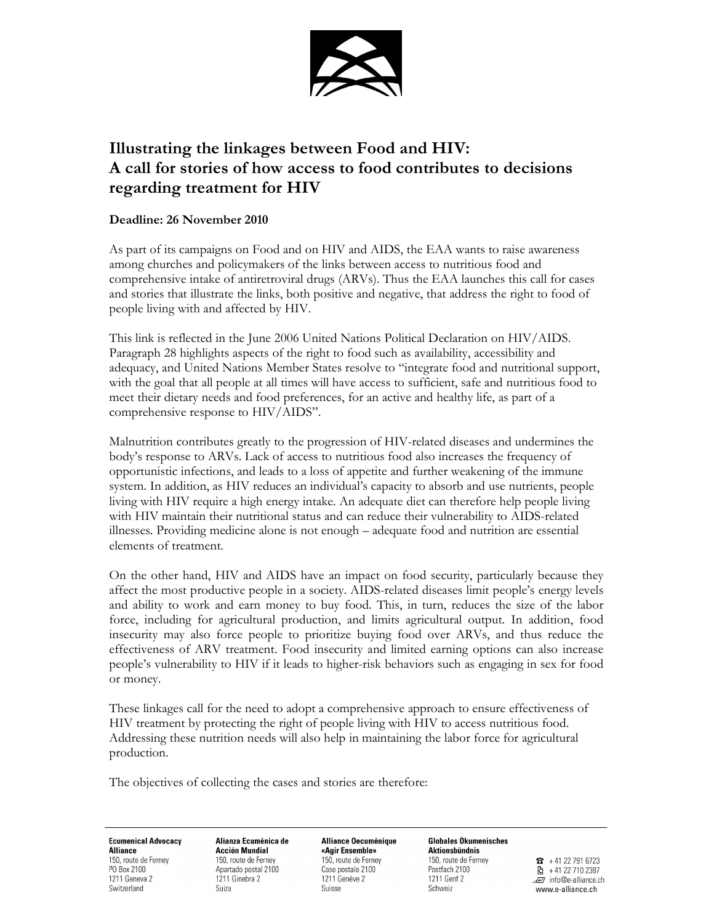

## Illustrating the linkages between Food and HIV: A call for stories of how access to food contributes to decisions regarding treatment for HIV

## Deadline: 26 November 2010

As part of its campaigns on Food and on HIV and AIDS, the EAA wants to raise awareness among churches and policymakers of the links between access to nutritious food and comprehensive intake of antiretroviral drugs (ARVs). Thus the EAA launches this call for cases and stories that illustrate the links, both positive and negative, that address the right to food of people living with and affected by HIV.

This link is reflected in the June 2006 United Nations Political Declaration on HIV/AIDS. Paragraph 28 highlights aspects of the right to food such as availability, accessibility and adequacy, and United Nations Member States resolve to "integrate food and nutritional support, with the goal that all people at all times will have access to sufficient, safe and nutritious food to meet their dietary needs and food preferences, for an active and healthy life, as part of a comprehensive response to HIV/AIDS".

Malnutrition contributes greatly to the progression of HIV-related diseases and undermines the body's response to ARVs. Lack of access to nutritious food also increases the frequency of opportunistic infections, and leads to a loss of appetite and further weakening of the immune system. In addition, as HIV reduces an individual's capacity to absorb and use nutrients, people living with HIV require a high energy intake. An adequate diet can therefore help people living with HIV maintain their nutritional status and can reduce their vulnerability to AIDS-related illnesses. Providing medicine alone is not enough – adequate food and nutrition are essential elements of treatment.

On the other hand, HIV and AIDS have an impact on food security, particularly because they affect the most productive people in a society. AIDS-related diseases limit people's energy levels and ability to work and earn money to buy food. This, in turn, reduces the size of the labor force, including for agricultural production, and limits agricultural output. In addition, food insecurity may also force people to prioritize buying food over ARVs, and thus reduce the effectiveness of ARV treatment. Food insecurity and limited earning options can also increase people's vulnerability to HIV if it leads to higher-risk behaviors such as engaging in sex for food or money.

These linkages call for the need to adopt a comprehensive approach to ensure effectiveness of HIV treatment by protecting the right of people living with HIV to access nutritious food. Addressing these nutrition needs will also help in maintaining the labor force for agricultural production.

The objectives of collecting the cases and stories are therefore:

**Ecumenical Advocacy Alliance** 150, route de Ferney PO Box 2100 1211 Geneva 2 Switzerland

Alianza Ecuménica de **Acción Mundial** 150, route de Fernev Apartado postal 2100 1211 Ginebra 2 Suiza

**Alliance Oecuménique** «Agir Ensemble» 150, route de Fernev Case postale 2100 1211 Genève 2 Suisse

**Globales Ökumenisches** Aktionsbündnis 150, route de Ferney Postfach 2100 1211 Genf 2

Schweiz

 $\overline{3}$  + 41 22 791 6723 图 +41 22 710 2387 Finfo@e-alliance.ch www.e-alliance.ch